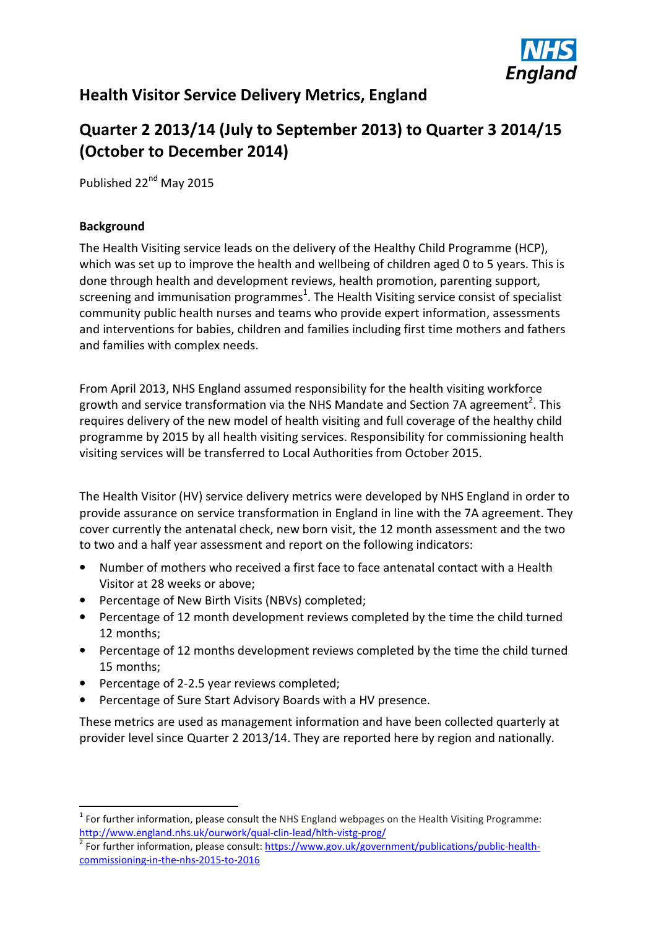

# **Health Visitor Service Delivery Metrics, England**

# **Quarter 2 2013/14 (July to September 2013) to Quarter 3 2014/15 (October to December 2014)**

Published 22<sup>nd</sup> May 2015

#### **Background**

The Health Visiting service leads on the delivery of the Healthy Child Programme (HCP), which was set up to improve the health and wellbeing of children aged 0 to 5 years. This is done through health and development reviews, health promotion, parenting support, screening and immunisation programmes<sup>1</sup>. The Health Visiting service consist of specialist community public health nurses and teams who provide expert information, assessments and interventions for babies, children and families including first time mothers and fathers and families with complex needs.

From April 2013, NHS England assumed responsibility for the health visiting workforce growth and service transformation via the NHS Mandate and Section 7A agreement<sup>2</sup>. This requires delivery of the new model of health visiting and full coverage of the healthy child programme by 2015 by all health visiting services. Responsibility for commissioning health visiting services will be transferred to Local Authorities from October 2015.

The Health Visitor (HV) service delivery metrics were developed by NHS England in order to provide assurance on service transformation in England in line with the 7A agreement. They cover currently the antenatal check, new born visit, the 12 month assessment and the two to two and a half year assessment and report on the following indicators:

- Number of mothers who received a first face to face antenatal contact with a Health Visitor at 28 weeks or above;
- Percentage of New Birth Visits (NBVs) completed;
- Percentage of 12 month development reviews completed by the time the child turned 12 months;
- Percentage of 12 months development reviews completed by the time the child turned 15 months;
- Percentage of 2-2.5 year reviews completed;
- Percentage of Sure Start Advisory Boards with a HV presence.

These metrics are used as management information and have been collected quarterly at provider level since Quarter 2 2013/14. They are reported here by region and nationally.

 $1$  For further information, please consult the NHS England webpages on the Health Visiting Programme: http://www.england.nhs.uk/ourwork/qual-clin-lead/hlth-vistg-prog/

<sup>&</sup>lt;sup>2</sup> For further information, please consult: https://www.gov.uk/government/publications/public-healthcommissioning-in-the-nhs-2015-to-2016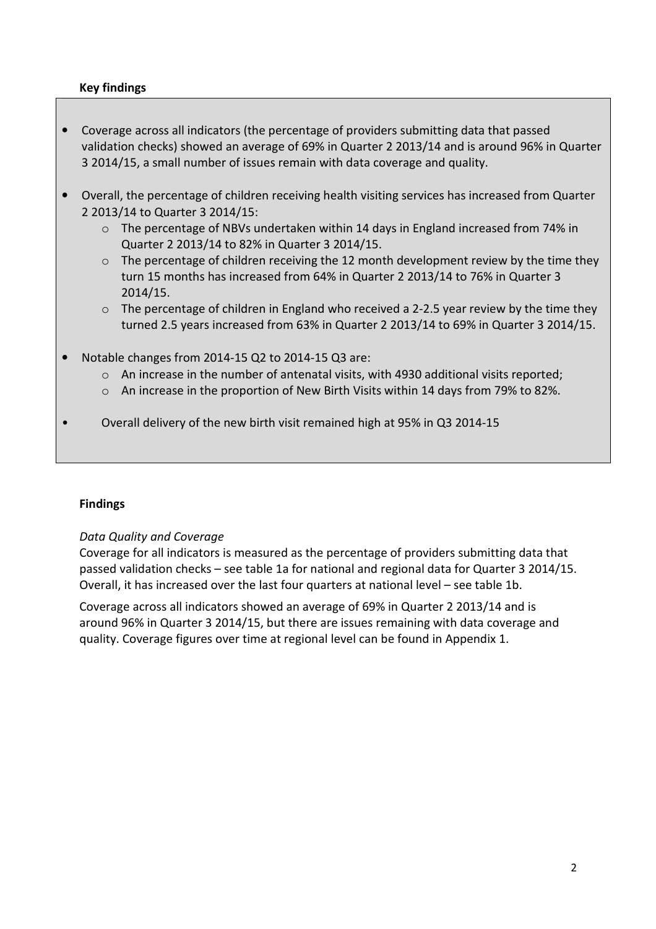#### **Key findings**

- Coverage across all indicators (the percentage of providers submitting data that passed validation checks) showed an average of 69% in Quarter 2 2013/14 and is around 96% in Quarter 3 2014/15, a small number of issues remain with data coverage and quality.
- Overall, the percentage of children receiving health visiting services has increased from Quarter 2 2013/14 to Quarter 3 2014/15:
	- $\circ$  The percentage of NBVs undertaken within 14 days in England increased from 74% in Quarter 2 2013/14 to 82% in Quarter 3 2014/15.
	- $\circ$  The percentage of children receiving the 12 month development review by the time they turn 15 months has increased from 64% in Quarter 2 2013/14 to 76% in Quarter 3 2014/15.
	- $\circ$  The percentage of children in England who received a 2-2.5 year review by the time they turned 2.5 years increased from 63% in Quarter 2 2013/14 to 69% in Quarter 3 2014/15.
- Notable changes from 2014-15 Q2 to 2014-15 Q3 are:
	- $\circ$  An increase in the number of antenatal visits, with 4930 additional visits reported;
	- o An increase in the proportion of New Birth Visits within 14 days from 79% to 82%.
- Overall delivery of the new birth visit remained high at 95% in Q3 2014-15

#### **Findings**

#### *Data Quality and Coverage*

Coverage for all indicators is measured as the percentage of providers submitting data that passed validation checks – see table 1a for national and regional data for Quarter 3 2014/15. Overall, it has increased over the last four quarters at national level – see table 1b.

Coverage across all indicators showed an average of 69% in Quarter 2 2013/14 and is around 96% in Quarter 3 2014/15, but there are issues remaining with data coverage and quality. Coverage figures over time at regional level can be found in Appendix 1.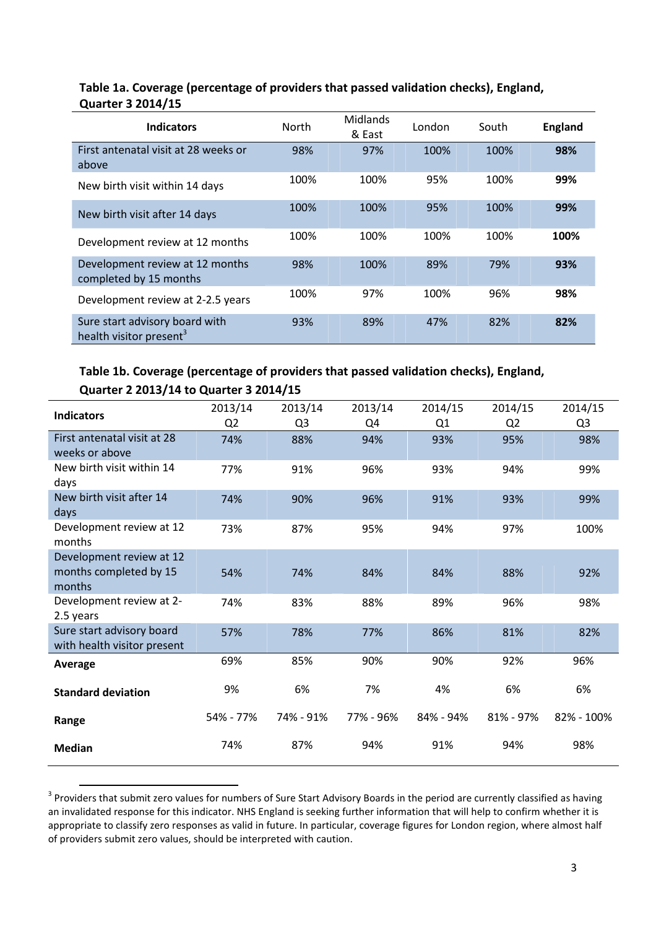#### **Table 1a. Coverage (percentage of providers that passed validation checks), England, Quarter 3 2014/15**

| <b>Indicators</b>                                                     | North | <b>Midlands</b><br>& East | London | South | <b>England</b> |
|-----------------------------------------------------------------------|-------|---------------------------|--------|-------|----------------|
| First antenatal visit at 28 weeks or<br>above                         | 98%   | 97%                       | 100%   | 100%  | 98%            |
| New birth visit within 14 days                                        | 100%  | 100%                      | 95%    | 100%  | 99%            |
| New birth visit after 14 days                                         | 100%  | 100%                      | 95%    | 100%  | 99%            |
| Development review at 12 months                                       | 100%  | 100%                      | 100%   | 100%  | 100%           |
| Development review at 12 months<br>completed by 15 months             | 98%   | 100%                      | 89%    | 79%   | 93%            |
| Development review at 2-2.5 years                                     | 100%  | 97%                       | 100%   | 96%   | 98%            |
| Sure start advisory board with<br>health visitor present <sup>3</sup> | 93%   | 89%                       | 47%    | 82%   | 82%            |

# **Table 1b. Coverage (percentage of providers that passed validation checks), England, Quarter 2 2013/14 to Quarter 3 2014/15**

| <b>Indicators</b>                  | 2013/14        | 2013/14        | 2013/14   | 2014/15   | 2014/15        | 2014/15        |
|------------------------------------|----------------|----------------|-----------|-----------|----------------|----------------|
|                                    | Q <sub>2</sub> | Q <sub>3</sub> | Q4        | Q1        | Q <sub>2</sub> | Q <sub>3</sub> |
| First antenatal visit at 28        | 74%            | 88%            | 94%       | 93%       | 95%            | 98%            |
| weeks or above                     |                |                |           |           |                |                |
| New birth visit within 14          | 77%            | 91%            | 96%       | 93%       | 94%            | 99%            |
| days                               |                |                |           |           |                |                |
| New birth visit after 14           | 74%            | 90%            | 96%       | 91%       | 93%            | 99%            |
| days                               |                |                |           |           |                |                |
| Development review at 12<br>months | 73%            | 87%            | 95%       | 94%       | 97%            | 100%           |
| Development review at 12           |                |                |           |           |                |                |
| months completed by 15             | 54%            | 74%            | 84%       | 84%       | 88%            | 92%            |
| months                             |                |                |           |           |                |                |
| Development review at 2-           | 74%            | 83%            | 88%       | 89%       | 96%            | 98%            |
| 2.5 years                          |                |                |           |           |                |                |
| Sure start advisory board          | 57%            | 78%            | 77%       | 86%       | 81%            | 82%            |
| with health visitor present        |                |                |           |           |                |                |
| Average                            | 69%            | 85%            | 90%       | 90%       | 92%            | 96%            |
| <b>Standard deviation</b>          | 9%             | 6%             | 7%        | 4%        | 6%             | 6%             |
| Range                              | 54% - 77%      | 74% - 91%      | 77% - 96% | 84% - 94% | 81% - 97%      | 82% - 100%     |
| <b>Median</b>                      | 74%            | 87%            | 94%       | 91%       | 94%            | 98%            |

 $3$  Providers that submit zero values for numbers of Sure Start Advisory Boards in the period are currently classified as having an invalidated response for this indicator. NHS England is seeking further information that will help to confirm whether it is appropriate to classify zero responses as valid in future. In particular, coverage figures for London region, where almost half of providers submit zero values, should be interpreted with caution.

l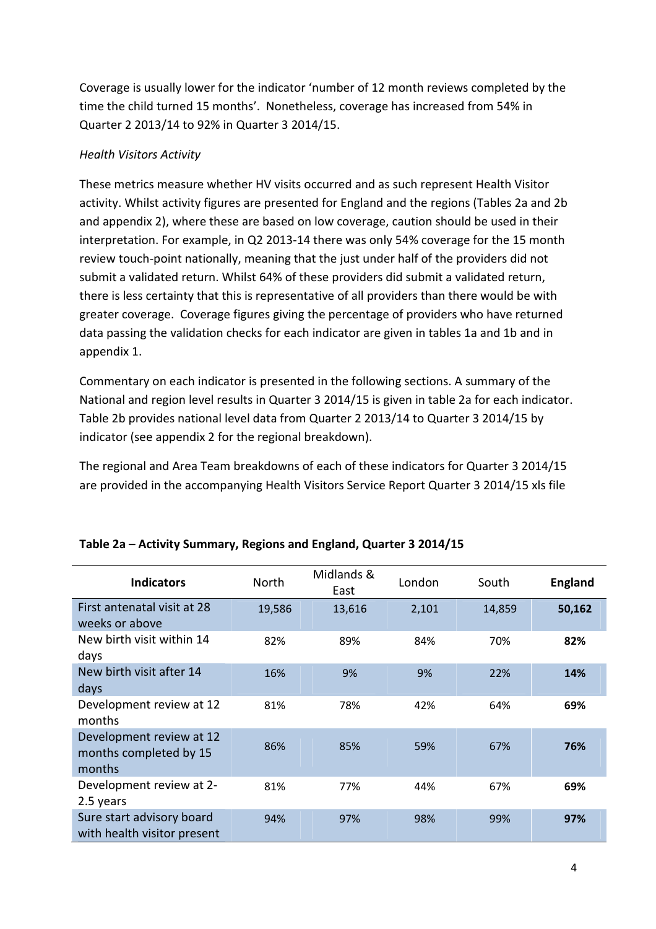Coverage is usually lower for the indicator 'number of 12 month reviews completed by the time the child turned 15 months'. Nonetheless, coverage has increased from 54% in Quarter 2 2013/14 to 92% in Quarter 3 2014/15.

#### *Health Visitors Activity*

These metrics measure whether HV visits occurred and as such represent Health Visitor activity. Whilst activity figures are presented for England and the regions (Tables 2a and 2b and appendix 2), where these are based on low coverage, caution should be used in their interpretation. For example, in Q2 2013-14 there was only 54% coverage for the 15 month review touch-point nationally, meaning that the just under half of the providers did not submit a validated return. Whilst 64% of these providers did submit a validated return, there is less certainty that this is representative of all providers than there would be with greater coverage. Coverage figures giving the percentage of providers who have returned data passing the validation checks for each indicator are given in tables 1a and 1b and in appendix 1.

Commentary on each indicator is presented in the following sections. A summary of the National and region level results in Quarter 3 2014/15 is given in table 2a for each indicator. Table 2b provides national level data from Quarter 2 2013/14 to Quarter 3 2014/15 by indicator (see appendix 2 for the regional breakdown).

The regional and Area Team breakdowns of each of these indicators for Quarter 3 2014/15 are provided in the accompanying Health Visitors Service Report Quarter 3 2014/15 xls file

| <b>Indicators</b>                                            | North  | Midlands &<br>East | London | South  | <b>England</b> |
|--------------------------------------------------------------|--------|--------------------|--------|--------|----------------|
| First antenatal visit at 28<br>weeks or above                | 19,586 | 13,616             | 2,101  | 14,859 | 50,162         |
| New birth visit within 14<br>days                            | 82%    | 89%                | 84%    | 70%    | 82%            |
| New birth visit after 14<br>days                             | 16%    | 9%                 | 9%     | 22%    | 14%            |
| Development review at 12<br>months                           | 81%    | 78%                | 42%    | 64%    | 69%            |
| Development review at 12<br>months completed by 15<br>months | 86%    | 85%                | 59%    | 67%    | 76%            |
| Development review at 2-<br>2.5 years                        | 81%    | 77%                | 44%    | 67%    | 69%            |
| Sure start advisory board<br>with health visitor present     | 94%    | 97%                | 98%    | 99%    | 97%            |

#### **Table 2a – Activity Summary, Regions and England, Quarter 3 2014/15**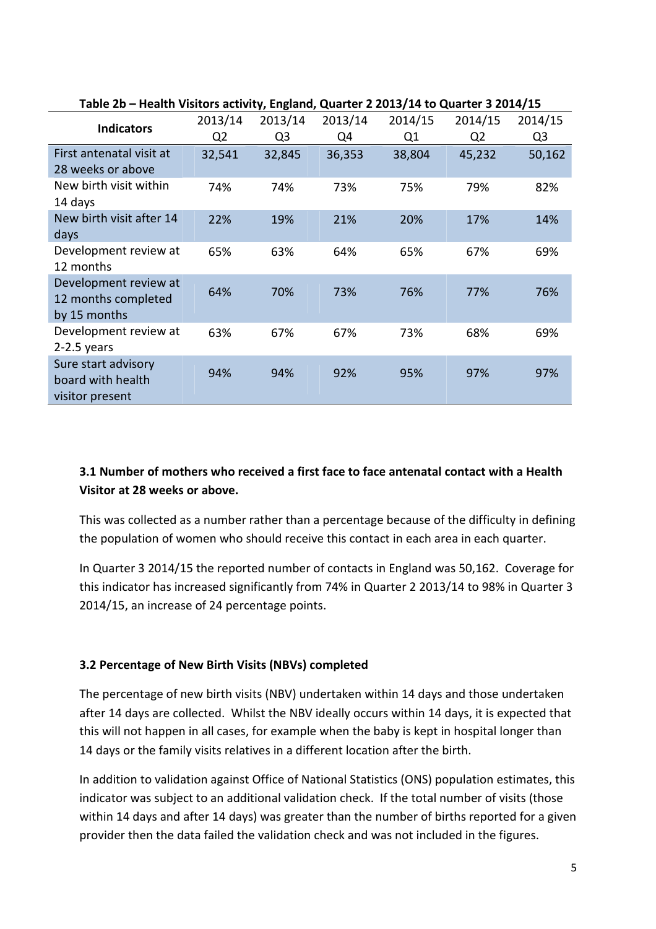| <b>Indicators</b>                                            | 2013/14<br>Q <sub>2</sub> | 2013/14<br>Q <sub>3</sub> | 2013/14<br>Q4 | 2014/15<br>Q <sub>1</sub> | 2014/15<br>Q <sub>2</sub> | 2014/15<br>Q <sub>3</sub> |
|--------------------------------------------------------------|---------------------------|---------------------------|---------------|---------------------------|---------------------------|---------------------------|
| First antenatal visit at<br>28 weeks or above                | 32,541                    | 32,845                    | 36,353        | 38,804                    | 45,232                    | 50,162                    |
| New birth visit within<br>14 days                            | 74%                       | 74%                       | 73%           | 75%                       | 79%                       | 82%                       |
| New birth visit after 14<br>days                             | 22%                       | 19%                       | 21%           | 20%                       | 17%                       | 14%                       |
| Development review at<br>12 months                           | 65%                       | 63%                       | 64%           | 65%                       | 67%                       | 69%                       |
| Development review at<br>12 months completed<br>by 15 months | 64%                       | 70%                       | 73%           | 76%                       | 77%                       | 76%                       |
| Development review at<br>$2-2.5$ years                       | 63%                       | 67%                       | 67%           | 73%                       | 68%                       | 69%                       |
| Sure start advisory<br>board with health<br>visitor present  | 94%                       | 94%                       | 92%           | 95%                       | 97%                       | 97%                       |

#### **Table 2b – Health Visitors activity, England, Quarter 2 2013/14 to Quarter 3 2014/15**

# **3.1 Number of mothers who received a first face to face antenatal contact with a Health Visitor at 28 weeks or above.**

This was collected as a number rather than a percentage because of the difficulty in defining the population of women who should receive this contact in each area in each quarter.

In Quarter 3 2014/15 the reported number of contacts in England was 50,162. Coverage for this indicator has increased significantly from 74% in Quarter 2 2013/14 to 98% in Quarter 3 2014/15, an increase of 24 percentage points.

#### **3.2 Percentage of New Birth Visits (NBVs) completed**

The percentage of new birth visits (NBV) undertaken within 14 days and those undertaken after 14 days are collected. Whilst the NBV ideally occurs within 14 days, it is expected that this will not happen in all cases, for example when the baby is kept in hospital longer than 14 days or the family visits relatives in a different location after the birth.

In addition to validation against Office of National Statistics (ONS) population estimates, this indicator was subject to an additional validation check. If the total number of visits (those within 14 days and after 14 days) was greater than the number of births reported for a given provider then the data failed the validation check and was not included in the figures.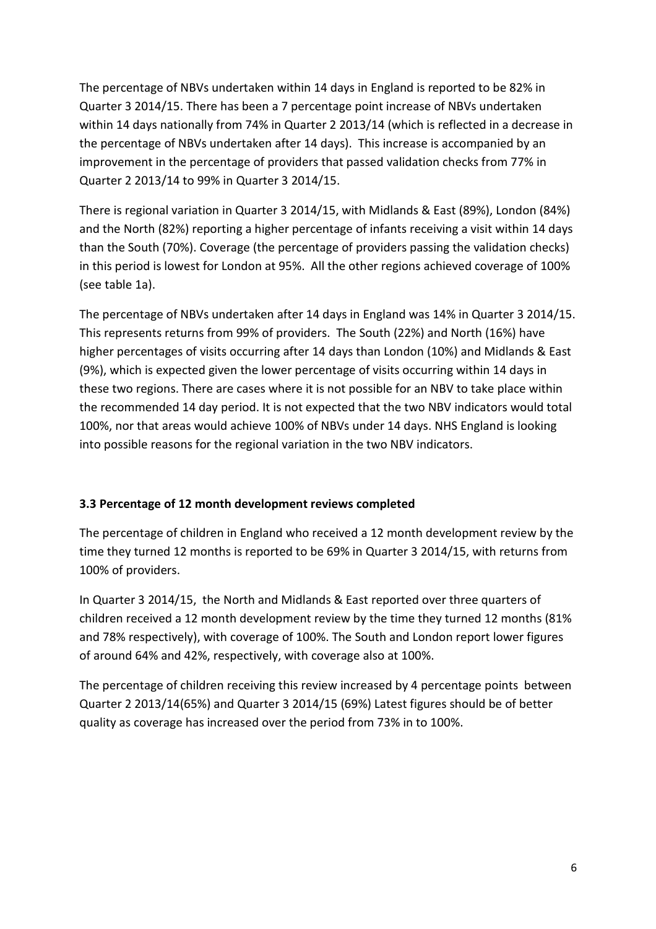The percentage of NBVs undertaken within 14 days in England is reported to be 82% in Quarter 3 2014/15. There has been a 7 percentage point increase of NBVs undertaken within 14 days nationally from 74% in Quarter 2 2013/14 (which is reflected in a decrease in the percentage of NBVs undertaken after 14 days). This increase is accompanied by an improvement in the percentage of providers that passed validation checks from 77% in Quarter 2 2013/14 to 99% in Quarter 3 2014/15.

There is regional variation in Quarter 3 2014/15, with Midlands & East (89%), London (84%) and the North (82%) reporting a higher percentage of infants receiving a visit within 14 days than the South (70%). Coverage (the percentage of providers passing the validation checks) in this period is lowest for London at 95%. All the other regions achieved coverage of 100% (see table 1a).

The percentage of NBVs undertaken after 14 days in England was 14% in Quarter 3 2014/15. This represents returns from 99% of providers. The South (22%) and North (16%) have higher percentages of visits occurring after 14 days than London (10%) and Midlands & East (9%), which is expected given the lower percentage of visits occurring within 14 days in these two regions. There are cases where it is not possible for an NBV to take place within the recommended 14 day period. It is not expected that the two NBV indicators would total 100%, nor that areas would achieve 100% of NBVs under 14 days. NHS England is looking into possible reasons for the regional variation in the two NBV indicators.

#### **3.3 Percentage of 12 month development reviews completed**

The percentage of children in England who received a 12 month development review by the time they turned 12 months is reported to be 69% in Quarter 3 2014/15, with returns from 100% of providers.

In Quarter 3 2014/15, the North and Midlands & East reported over three quarters of children received a 12 month development review by the time they turned 12 months (81% and 78% respectively), with coverage of 100%. The South and London report lower figures of around 64% and 42%, respectively, with coverage also at 100%.

The percentage of children receiving this review increased by 4 percentage points between Quarter 2 2013/14(65%) and Quarter 3 2014/15 (69%) Latest figures should be of better quality as coverage has increased over the period from 73% in to 100%.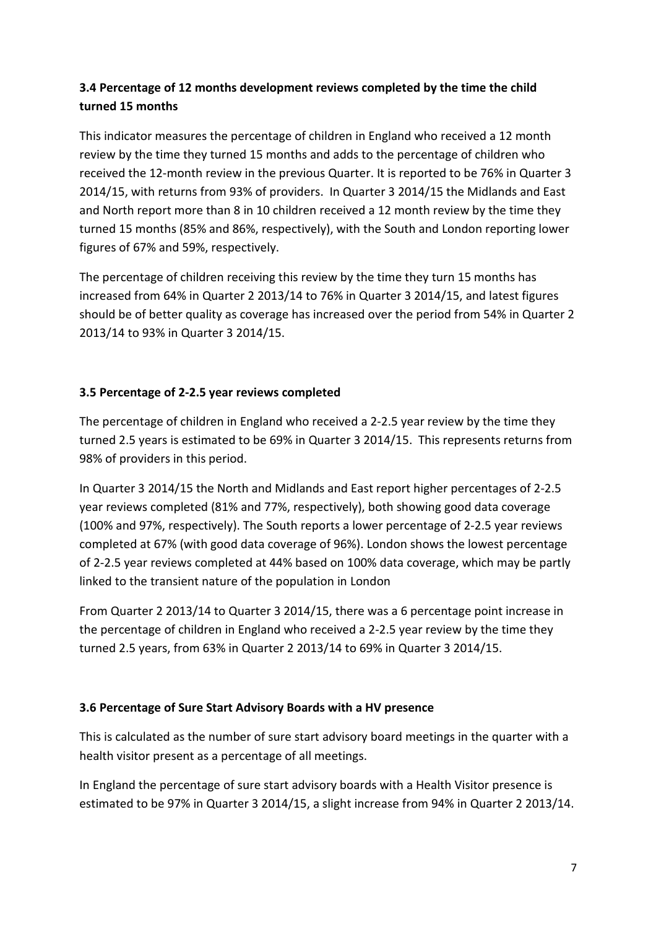# **3.4 Percentage of 12 months development reviews completed by the time the child turned 15 months**

This indicator measures the percentage of children in England who received a 12 month review by the time they turned 15 months and adds to the percentage of children who received the 12-month review in the previous Quarter. It is reported to be 76% in Quarter 3 2014/15, with returns from 93% of providers. In Quarter 3 2014/15 the Midlands and East and North report more than 8 in 10 children received a 12 month review by the time they turned 15 months (85% and 86%, respectively), with the South and London reporting lower figures of 67% and 59%, respectively.

The percentage of children receiving this review by the time they turn 15 months has increased from 64% in Quarter 2 2013/14 to 76% in Quarter 3 2014/15, and latest figures should be of better quality as coverage has increased over the period from 54% in Quarter 2 2013/14 to 93% in Quarter 3 2014/15.

# **3.5 Percentage of 2-2.5 year reviews completed**

The percentage of children in England who received a 2-2.5 year review by the time they turned 2.5 years is estimated to be 69% in Quarter 3 2014/15. This represents returns from 98% of providers in this period.

In Quarter 3 2014/15 the North and Midlands and East report higher percentages of 2-2.5 year reviews completed (81% and 77%, respectively), both showing good data coverage (100% and 97%, respectively). The South reports a lower percentage of 2-2.5 year reviews completed at 67% (with good data coverage of 96%). London shows the lowest percentage of 2-2.5 year reviews completed at 44% based on 100% data coverage, which may be partly linked to the transient nature of the population in London

From Quarter 2 2013/14 to Quarter 3 2014/15, there was a 6 percentage point increase in the percentage of children in England who received a 2-2.5 year review by the time they turned 2.5 years, from 63% in Quarter 2 2013/14 to 69% in Quarter 3 2014/15.

# **3.6 Percentage of Sure Start Advisory Boards with a HV presence**

This is calculated as the number of sure start advisory board meetings in the quarter with a health visitor present as a percentage of all meetings.

In England the percentage of sure start advisory boards with a Health Visitor presence is estimated to be 97% in Quarter 3 2014/15, a slight increase from 94% in Quarter 2 2013/14.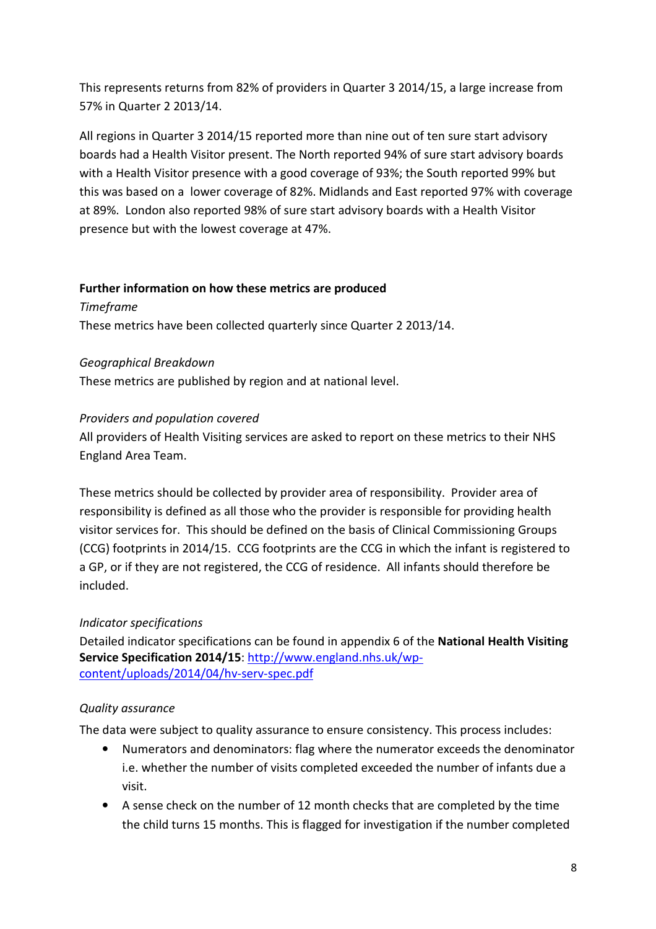This represents returns from 82% of providers in Quarter 3 2014/15, a large increase from 57% in Quarter 2 2013/14.

All regions in Quarter 3 2014/15 reported more than nine out of ten sure start advisory boards had a Health Visitor present. The North reported 94% of sure start advisory boards with a Health Visitor presence with a good coverage of 93%; the South reported 99% but this was based on a lower coverage of 82%. Midlands and East reported 97% with coverage at 89%. London also reported 98% of sure start advisory boards with a Health Visitor presence but with the lowest coverage at 47%.

#### **Further information on how these metrics are produced**

*Timeframe* 

These metrics have been collected quarterly since Quarter 2 2013/14.

# *Geographical Breakdown*

These metrics are published by region and at national level.

# *Providers and population covered*

All providers of Health Visiting services are asked to report on these metrics to their NHS England Area Team.

These metrics should be collected by provider area of responsibility. Provider area of responsibility is defined as all those who the provider is responsible for providing health visitor services for. This should be defined on the basis of Clinical Commissioning Groups (CCG) footprints in 2014/15. CCG footprints are the CCG in which the infant is registered to a GP, or if they are not registered, the CCG of residence. All infants should therefore be included.

# *Indicator specifications*

Detailed indicator specifications can be found in appendix 6 of the **National Health Visiting Service Specification 2014/15**: http://www.england.nhs.uk/wpcontent/uploads/2014/04/hv-serv-spec.pdf

# *Quality assurance*

The data were subject to quality assurance to ensure consistency. This process includes:

- Numerators and denominators: flag where the numerator exceeds the denominator i.e. whether the number of visits completed exceeded the number of infants due a visit.
- A sense check on the number of 12 month checks that are completed by the time the child turns 15 months. This is flagged for investigation if the number completed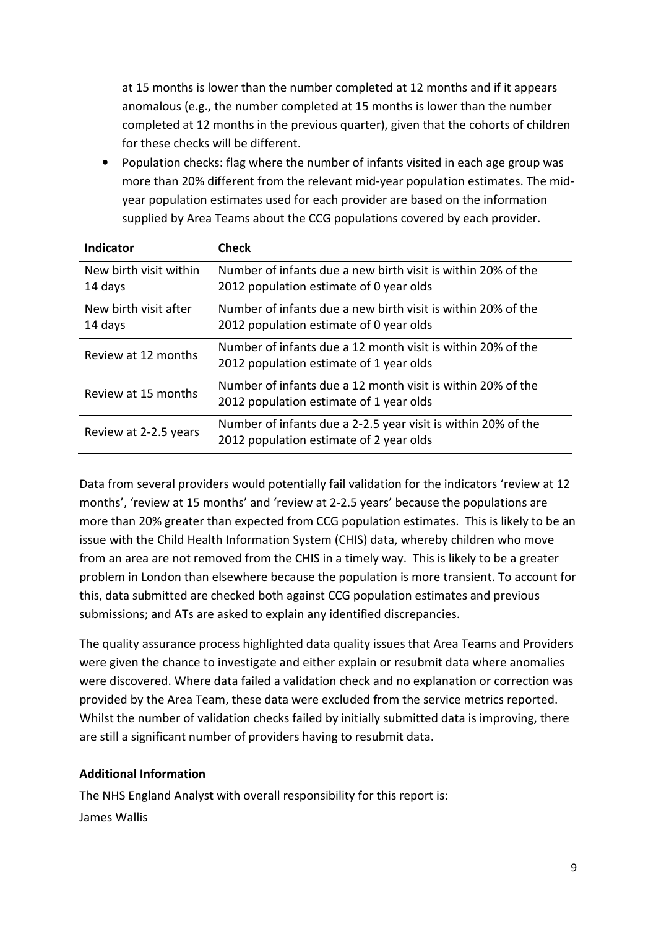at 15 months is lower than the number completed at 12 months and if it appears anomalous (e.g., the number completed at 15 months is lower than the number completed at 12 months in the previous quarter), given that the cohorts of children for these checks will be different.

• Population checks: flag where the number of infants visited in each age group was more than 20% different from the relevant mid-year population estimates. The midyear population estimates used for each provider are based on the information supplied by Area Teams about the CCG populations covered by each provider.

| Indicator                         | <b>Check</b>                                                                                             |
|-----------------------------------|----------------------------------------------------------------------------------------------------------|
| New birth visit within<br>14 days | Number of infants due a new birth visit is within 20% of the<br>2012 population estimate of 0 year olds  |
| New birth visit after<br>14 days  | Number of infants due a new birth visit is within 20% of the<br>2012 population estimate of 0 year olds  |
| Review at 12 months               | Number of infants due a 12 month visit is within 20% of the<br>2012 population estimate of 1 year olds   |
| Review at 15 months               | Number of infants due a 12 month visit is within 20% of the<br>2012 population estimate of 1 year olds   |
| Review at 2-2.5 years             | Number of infants due a 2-2.5 year visit is within 20% of the<br>2012 population estimate of 2 year olds |

Data from several providers would potentially fail validation for the indicators 'review at 12 months', 'review at 15 months' and 'review at 2-2.5 years' because the populations are more than 20% greater than expected from CCG population estimates. This is likely to be an issue with the Child Health Information System (CHIS) data, whereby children who move from an area are not removed from the CHIS in a timely way. This is likely to be a greater problem in London than elsewhere because the population is more transient. To account for this, data submitted are checked both against CCG population estimates and previous submissions; and ATs are asked to explain any identified discrepancies.

The quality assurance process highlighted data quality issues that Area Teams and Providers were given the chance to investigate and either explain or resubmit data where anomalies were discovered. Where data failed a validation check and no explanation or correction was provided by the Area Team, these data were excluded from the service metrics reported. Whilst the number of validation checks failed by initially submitted data is improving, there are still a significant number of providers having to resubmit data.

#### **Additional Information**

The NHS England Analyst with overall responsibility for this report is: James Wallis